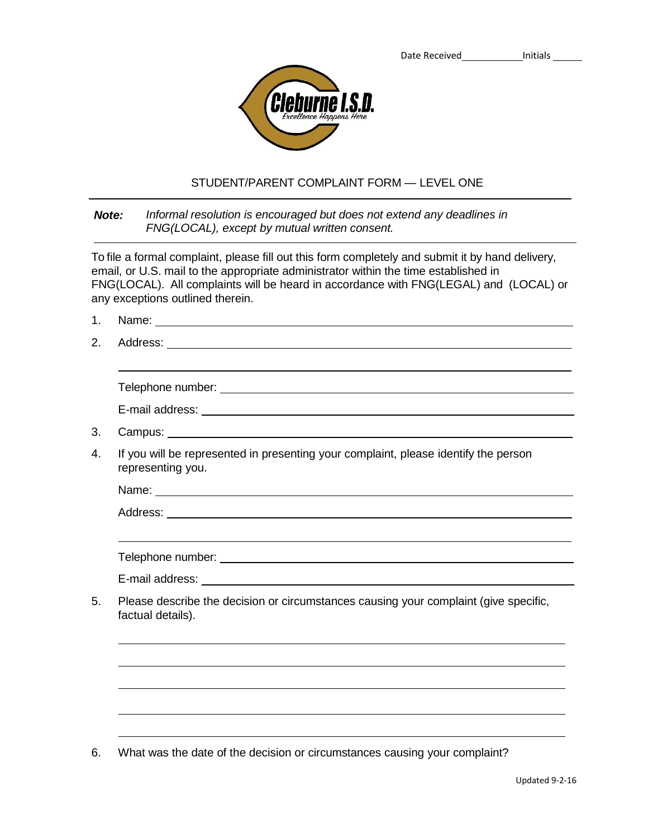

## STUDENT/PARENT COMPLAINT FORM — LEVEL ONE

## *Note: Informal resolution is encouraged but does not extend any deadlines in FNG(LOCAL), except by mutual written consent.*

To file a formal complaint, please fill out this form completely and submit it by hand delivery, email, or U.S. mail to the appropriate administrator within the time established in FNG(LOCAL). All complaints will be heard in accordance with FNG(LEGAL) and (LOCAL) or any exceptions outlined therein.

- 1. Name:
- 2. Address:

| Telephone number: |  |  |
|-------------------|--|--|
| E-mail address:   |  |  |

- 3. Campus:
- 4. If you will be represented in presenting your complaint, please identify the person representing you.

Name: when the contract of the contract of the contract of the contract of the contract of the contract of the contract of the contract of the contract of the contract of the contract of the contract of the contract of the

Address: and the state of the state of the state of the state of the state of the state of the state of the state of the state of the state of the state of the state of the state of the state of the state of the state of t

Telephone number: www.assetter.com/www.assetter.com/www.assetter.com/www.assetter.com/www.assetter.com/www.assetter.com/www.assetter.com/www.assetter.com/www.assetter.com/www.assetter.com/www.assetter.com/www.assetter.com/

E-mail address:

5. Please describe the decision or circumstances causing your complaint (give specific, factual details).

6. What was the date of the decision or circumstances causing your complaint?